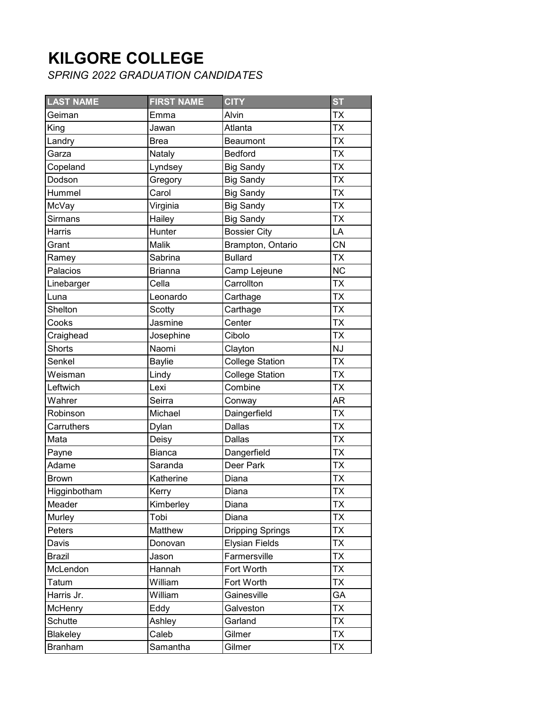## **KILGORE COLLEGE**

*SPRING 2022 GRADUATION CANDIDATES*

| <b>LAST NAME</b> | <b>FIRST NAME</b> | <b>CITY</b>             | <b>ST</b> |
|------------------|-------------------|-------------------------|-----------|
| Geiman           | Emma              | Alvin                   | <b>TX</b> |
| King             | Jawan             | Atlanta                 | <b>TX</b> |
| Landry           | <b>Brea</b>       | Beaumont                | <b>TX</b> |
| Garza            | Nataly            | <b>Bedford</b>          | TX        |
| Copeland         | Lyndsey           | <b>Big Sandy</b>        | <b>TX</b> |
| Dodson           | Gregory           | <b>Big Sandy</b>        | <b>ΤΧ</b> |
| Hummel           | Carol             | <b>Big Sandy</b>        | <b>TX</b> |
| McVay            | Virginia          | <b>Big Sandy</b>        | <b>TX</b> |
| <b>Sirmans</b>   | Hailey            | <b>Big Sandy</b>        | <b>TX</b> |
| Harris           | Hunter            | <b>Bossier City</b>     | LA        |
| Grant            | Malik             | Brampton, Ontario       | <b>CN</b> |
| Ramey            | Sabrina           | <b>Bullard</b>          | <b>TX</b> |
| Palacios         | <b>Brianna</b>    | Camp Lejeune            | <b>NC</b> |
| Linebarger       | Cella             | Carrollton              | <b>TX</b> |
| Luna             | Leonardo          | Carthage                | <b>TX</b> |
| Shelton          | Scotty            | Carthage                | <b>TX</b> |
| Cooks            | Jasmine           | Center                  | <b>TX</b> |
| Craighead        | Josephine         | Cibolo                  | <b>TX</b> |
| <b>Shorts</b>    | Naomi             | Clayton                 | <b>NJ</b> |
| Senkel           | Baylie            | <b>College Station</b>  | <b>TX</b> |
| Weisman          | Lindy             | <b>College Station</b>  | <b>TX</b> |
| Leftwich         | Lexi              | Combine                 | <b>TX</b> |
| Wahrer           | Seirra            | Conway                  | AR        |
| Robinson         | Michael           | Daingerfield            | <b>TX</b> |
| Carruthers       | Dylan             | Dallas                  | <b>TX</b> |
| Mata             | Deisy             | Dallas                  | <b>TX</b> |
| Payne            | Bianca            | Dangerfield             | <b>TX</b> |
| Adame            | Saranda           | Deer Park               | <b>TX</b> |
| <b>Brown</b>     | Katherine         | Diana                   | <b>TX</b> |
| Higginbotham     | Kerry             | Diana                   | <b>TX</b> |
| Meader           | Kimberley         | Diana                   | <b>TX</b> |
| Murley           | Tobi              | Diana                   | <b>TX</b> |
| Peters           | Matthew           | <b>Dripping Springs</b> | <b>TX</b> |
| Davis            | Donovan           | <b>Elysian Fields</b>   | ТX        |
| Brazil           | Jason             | Farmersville            | ТX        |
| McLendon         | Hannah            | Fort Worth              | <b>TX</b> |
| Tatum            | William           | Fort Worth              | <b>TX</b> |
| Harris Jr.       | William           | Gainesville             | GA        |
| McHenry          | Eddy              | Galveston               | <b>TX</b> |
| Schutte          | Ashley            | Garland                 | ТX        |
| <b>Blakeley</b>  | Caleb             | Gilmer                  | <b>TX</b> |
| <b>Branham</b>   | Samantha          | Gilmer                  | ТX        |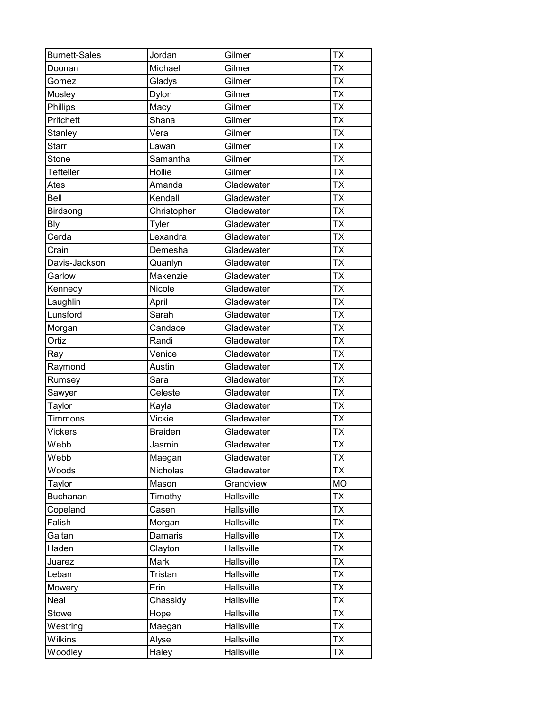| <b>Burnett-Sales</b> | Jordan         | Gilmer     | <b>TX</b> |
|----------------------|----------------|------------|-----------|
| Doonan               | Michael        | Gilmer     | <b>TX</b> |
| Gomez                | Gladys         | Gilmer     | <b>TX</b> |
| Mosley               | Dylon          | Gilmer     | <b>TX</b> |
| Phillips             | Macy           | Gilmer     | <b>TX</b> |
| Pritchett            | Shana          | Gilmer     | <b>TX</b> |
| Stanley              | Vera           | Gilmer     | <b>TX</b> |
| <b>Starr</b>         | Lawan          | Gilmer     | <b>TX</b> |
| Stone                | Samantha       | Gilmer     | <b>TX</b> |
| Tefteller            | Hollie         | Gilmer     | <b>TX</b> |
| Ates                 | Amanda         | Gladewater | <b>TX</b> |
| Bell                 | Kendall        | Gladewater | <b>TX</b> |
| Birdsong             | Christopher    | Gladewater | <b>TX</b> |
| <b>Bly</b>           | Tyler          | Gladewater | <b>TX</b> |
| Cerda                | Lexandra       | Gladewater | <b>TX</b> |
| Crain                | Demesha        | Gladewater | <b>TX</b> |
| Davis-Jackson        | Quanlyn        | Gladewater | <b>TX</b> |
| Garlow               | Makenzie       | Gladewater | <b>TX</b> |
| Kennedy              | Nicole         | Gladewater | <b>TX</b> |
| Laughlin             | April          | Gladewater | <b>TX</b> |
| Lunsford             | Sarah          | Gladewater | <b>TX</b> |
| Morgan               | Candace        | Gladewater | <b>TX</b> |
| Ortiz                | Randi          | Gladewater | <b>TX</b> |
| Ray                  | Venice         | Gladewater | <b>TX</b> |
| Raymond              | Austin         | Gladewater | <b>TX</b> |
| Rumsey               | Sara           | Gladewater | <b>TX</b> |
| Sawyer               | Celeste        | Gladewater | <b>TX</b> |
| Taylor               | Kayla          | Gladewater | <b>TX</b> |
| Timmons              | Vickie         | Gladewater | <b>TX</b> |
| Vickers              | <b>Braiden</b> | Gladewater | <b>TX</b> |
| Webb                 | Jasmin         | Gladewater | <b>TX</b> |
| Webb                 | Maegan         | Gladewater | <b>TX</b> |
| Woods                | Nicholas       | Gladewater | <b>TX</b> |
| Taylor               | Mason          | Grandview  | <b>MO</b> |
| <b>Buchanan</b>      | Timothy        | Hallsville | <b>TX</b> |
| Copeland             | Casen          | Hallsville | <b>TX</b> |
| Falish               | Morgan         | Hallsville | <b>TX</b> |
| Gaitan               | Damaris        | Hallsville | <b>TX</b> |
| Haden                | Clayton        | Hallsville | <b>TX</b> |
| Juarez               | Mark           | Hallsville | <b>TX</b> |
| Leban                | Tristan        | Hallsville | <b>TX</b> |
| Mowery               | Erin           | Hallsville | <b>TX</b> |
| Neal                 | Chassidy       | Hallsville | <b>TX</b> |
| Stowe                | Hope           | Hallsville | <b>TX</b> |
| Westring             | Maegan         | Hallsville | <b>TX</b> |
| Wilkins              | Alyse          | Hallsville | <b>TX</b> |
| Woodley              | Haley          | Hallsville | <b>TX</b> |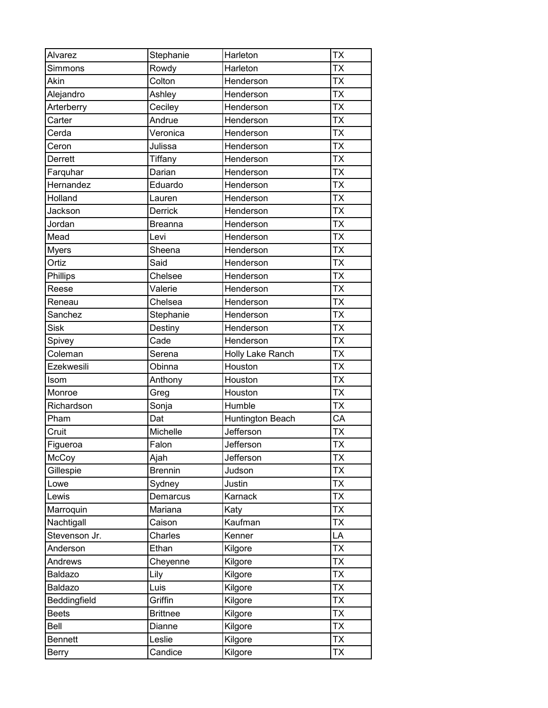| Alvarez        | Stephanie       | Harleton         | <b>TX</b>                |
|----------------|-----------------|------------------|--------------------------|
| Simmons        | Rowdy           | Harleton         | <b>TX</b>                |
| Akin           | Colton          | Henderson        | <b>TX</b>                |
| Alejandro      | Ashley          | Henderson        | <b>TX</b>                |
| Arterberry     | Ceciley         | Henderson        | <b>TX</b>                |
| Carter         | Andrue          | Henderson        | <b>TX</b>                |
| Cerda          | Veronica        | Henderson        | <b>TX</b>                |
| Ceron          | Julissa         | Henderson        | <b>TX</b>                |
| Derrett        | <b>Tiffany</b>  | Henderson        | $\overline{\mathsf{TX}}$ |
| Farquhar       | Darian          | Henderson        | <b>TX</b>                |
| Hernandez      | Eduardo         | Henderson        | <b>TX</b>                |
| Holland        | Lauren          | Henderson        | <b>TX</b>                |
| Jackson        | Derrick         | Henderson        | <b>TX</b>                |
| Jordan         | <b>Breanna</b>  | Henderson        | <b>TX</b>                |
| Mead           | Levi            | Henderson        | <b>TX</b>                |
| <b>Myers</b>   | Sheena          | Henderson        | <b>TX</b>                |
| Ortiz          | Said            | Henderson        | <b>TX</b>                |
| Phillips       | Chelsee         | Henderson        | <b>TX</b>                |
| Reese          | Valerie         | Henderson        | <b>TX</b>                |
| Reneau         | Chelsea         | Henderson        | <b>TX</b>                |
| Sanchez        | Stephanie       | Henderson        | <b>TX</b>                |
| <b>Sisk</b>    | Destiny         | Henderson        | <b>TX</b>                |
| Spivey         | Cade            | Henderson        | <b>TX</b>                |
| Coleman        | Serena          | Holly Lake Ranch | <b>TX</b>                |
| Ezekwesili     | Obinna          | Houston          | <b>TX</b>                |
| Isom           | Anthony         | Houston          | <b>TX</b>                |
| Monroe         | Greg            | Houston          | <b>TX</b>                |
| Richardson     | Sonja           | Humble           | <b>TX</b>                |
| Pham           | Dat             | Huntington Beach | CA                       |
| Cruit          | Michelle        | Jefferson        | <b>TX</b>                |
| Figueroa       | Falon           | Jefferson        | <b>TX</b>                |
| McCoy          | Ajah            | Jefferson        | <b>TX</b>                |
| Gillespie      | <b>Brennin</b>  | Judson           | <b>TX</b>                |
| Lowe           | Sydney          | Justin           | <b>TX</b>                |
| Lewis          | Demarcus        | Karnack          | <b>TX</b>                |
| Marroquin      | Mariana         | Katy             | <b>TX</b>                |
| Nachtigall     | Caison          | Kaufman          | <b>TX</b>                |
| Stevenson Jr.  | Charles         | Kenner           | LA                       |
| Anderson       | Ethan           | Kilgore          | <b>TX</b>                |
| Andrews        | Cheyenne        | Kilgore          | <b>TX</b>                |
| Baldazo        | Lily            | Kilgore          | <b>TX</b>                |
| Baldazo        | Luis            | Kilgore          | <b>TX</b>                |
| Beddingfield   | Griffin         | Kilgore          | <b>TX</b>                |
| <b>Beets</b>   | <b>Brittnee</b> | Kilgore          | <b>TX</b>                |
| Bell           | Dianne          | Kilgore          | TX                       |
| <b>Bennett</b> | Leslie          | Kilgore          | <b>TX</b>                |
| Berry          | Candice         | Kilgore          | <b>TX</b>                |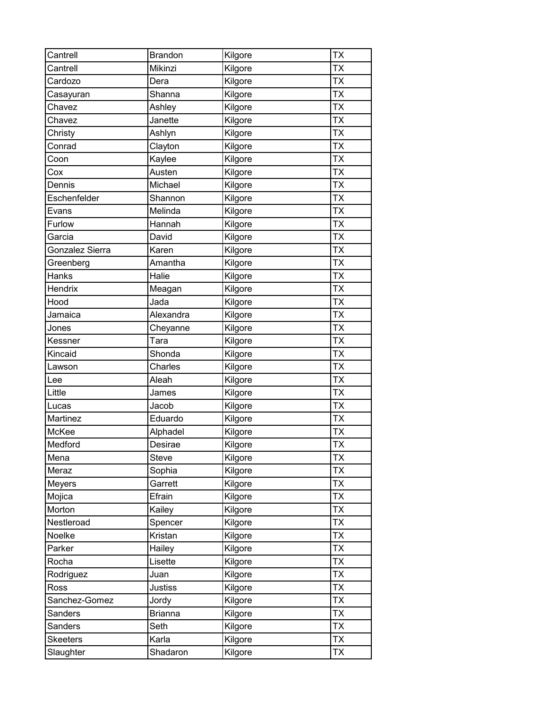| Cantrell        | <b>Brandon</b> | Kilgore | <b>TX</b> |
|-----------------|----------------|---------|-----------|
| Cantrell        | Mikinzi        | Kilgore | <b>TX</b> |
| Cardozo         | Dera           | Kilgore | <b>TX</b> |
| Casayuran       | Shanna         | Kilgore | <b>TX</b> |
| Chavez          | Ashley         | Kilgore | <b>TX</b> |
| Chavez          | Janette        | Kilgore | <b>TX</b> |
| Christy         | Ashlyn         | Kilgore | <b>TX</b> |
| Conrad          | Clayton        | Kilgore | <b>TX</b> |
| Coon            | Kaylee         | Kilgore | <b>TX</b> |
| Cox             | Austen         | Kilgore | <b>TX</b> |
| Dennis          | Michael        | Kilgore | <b>TX</b> |
| Eschenfelder    | Shannon        | Kilgore | <b>TX</b> |
| Evans           | Melinda        | Kilgore | <b>TX</b> |
| Furlow          | Hannah         | Kilgore | <b>TX</b> |
| Garcia          | David          | Kilgore | <b>TX</b> |
| Gonzalez Sierra | Karen          | Kilgore | <b>TX</b> |
| Greenberg       | Amantha        | Kilgore | <b>TX</b> |
| Hanks           | Halie          | Kilgore | <b>TX</b> |
| <b>Hendrix</b>  | Meagan         | Kilgore | <b>TX</b> |
| Hood            | Jada           | Kilgore | <b>TX</b> |
| Jamaica         | Alexandra      | Kilgore | <b>TX</b> |
| Jones           | Cheyanne       | Kilgore | <b>TX</b> |
| Kessner         | Tara           | Kilgore | <b>TX</b> |
| Kincaid         | Shonda         | Kilgore | <b>TX</b> |
| Lawson          | Charles        | Kilgore | <b>TX</b> |
| Lee             | Aleah          | Kilgore | <b>TX</b> |
| Little          | James          | Kilgore | <b>TX</b> |
| Lucas           | Jacob          | Kilgore | <b>TX</b> |
| Martinez        | Eduardo        | Kilgore | <b>TX</b> |
| McKee           | Alphadel       | Kilgore | <b>TX</b> |
| Medford         | Desirae        | Kilgore | <b>TX</b> |
| Mena            | Steve          | Kilgore | <b>TX</b> |
| Meraz           | Sophia         | Kilgore | <b>TX</b> |
| Meyers          | Garrett        | Kilgore | <b>TX</b> |
| Mojica          | Efrain         | Kilgore | <b>TX</b> |
| Morton          | Kailey         | Kilgore | <b>TX</b> |
| Nestleroad      | Spencer        | Kilgore | <b>TX</b> |
| Noelke          | Kristan        | Kilgore | <b>TX</b> |
| Parker          | Hailey         | Kilgore | <b>TX</b> |
| Rocha           | Lisette        | Kilgore | <b>TX</b> |
| Rodriguez       | Juan           | Kilgore | <b>TX</b> |
| Ross            | <b>Justiss</b> | Kilgore | <b>TX</b> |
| Sanchez-Gomez   | Jordy          | Kilgore | <b>TX</b> |
| Sanders         | <b>Brianna</b> | Kilgore | <b>TX</b> |
| Sanders         | Seth           | Kilgore | TX        |
| <b>Skeeters</b> | Karla          | Kilgore | <b>TX</b> |
| Slaughter       | Shadaron       | Kilgore | <b>TX</b> |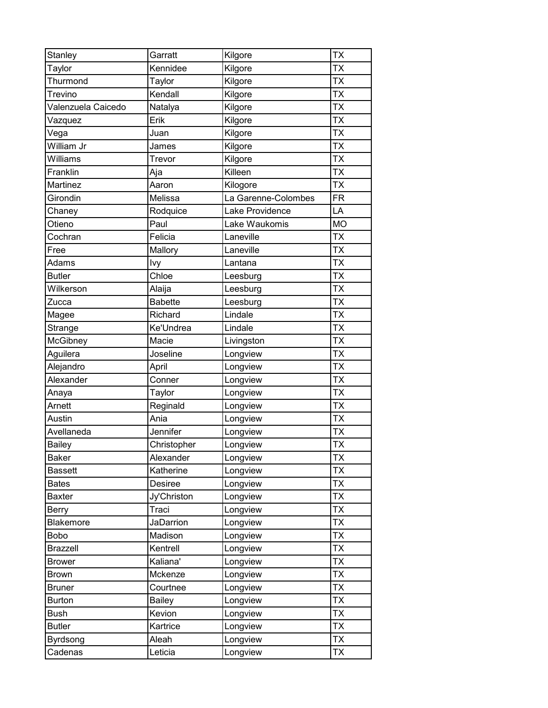| Stanley            | Garratt          | Kilgore             | <b>TX</b> |
|--------------------|------------------|---------------------|-----------|
| Taylor             | Kennidee         | Kilgore             | <b>TX</b> |
| Thurmond           | Taylor           | Kilgore             | <b>TX</b> |
| Trevino            | Kendall          | Kilgore             | <b>TX</b> |
| Valenzuela Caicedo | Natalya          | Kilgore             | <b>TX</b> |
| Vazquez            | Erik             | Kilgore             | <b>TX</b> |
| Vega               | Juan             | Kilgore             | <b>TX</b> |
| William Jr         | James            | Kilgore             | <b>TX</b> |
| Williams           | Trevor           | Kilgore             | <b>TX</b> |
| Franklin           | Aja              | Killeen             | <b>TX</b> |
| Martinez           | Aaron            | Kilogore            | <b>TX</b> |
| Girondin           | Melissa          | La Garenne-Colombes | <b>FR</b> |
| Chaney             | Rodquice         | Lake Providence     | LA        |
| Otieno             | Paul             | Lake Waukomis       | <b>MO</b> |
| Cochran            | Felicia          | Laneville           | <b>TX</b> |
| Free               | Mallory          | Laneville           | <b>TX</b> |
| Adams              | Ivy              | Lantana             | <b>TX</b> |
| <b>Butler</b>      | Chloe            | Leesburg            | <b>TX</b> |
| Wilkerson          | Alaija           | Leesburg            | <b>TX</b> |
| Zucca              | <b>Babette</b>   | Leesburg            | <b>TX</b> |
| Magee              | Richard          | Lindale             | <b>TX</b> |
| Strange            | Ke'Undrea        | Lindale             | <b>TX</b> |
| McGibney           | Macie            | Livingston          | <b>TX</b> |
| Aguilera           | Joseline         | Longview            | <b>TX</b> |
| Alejandro          | April            | Longview            | <b>TX</b> |
| Alexander          | Conner           | Longview            | <b>TX</b> |
| Anaya              | Taylor           | Longview            | <b>TX</b> |
| Arnett             | Reginald         | Longview            | <b>TX</b> |
| Austin             | Ania             | Longview            | <b>TX</b> |
| Avellaneda         | Jennifer         | Longview            | <b>TX</b> |
| <b>Bailey</b>      | Christopher      | Longview            | <b>TX</b> |
| <b>Baker</b>       | Alexander        | Longview            | <b>TX</b> |
| <b>Bassett</b>     | Katherine        | Longview            | <b>TX</b> |
| <b>Bates</b>       | Desiree          | Longview            | <b>TX</b> |
| Baxter             | Jy'Christon      | Longview            | <b>TX</b> |
| Berry              | Traci            | Longview            | <b>TX</b> |
| <b>Blakemore</b>   | <b>JaDarrion</b> | Longview            | <b>TX</b> |
| Bobo               | Madison          | Longview            | <b>TX</b> |
| <b>Brazzell</b>    | Kentrell         | Longview            | <b>TX</b> |
| <b>Brower</b>      | Kaliana'         | Longview            | <b>TX</b> |
| Brown              | Mckenze          | Longview            | <b>TX</b> |
| <b>Bruner</b>      | Courtnee         | Longview            | <b>TX</b> |
| <b>Burton</b>      | <b>Bailey</b>    | Longview            | <b>TX</b> |
| <b>Bush</b>        | Kevion           | Longview            | <b>TX</b> |
| <b>Butler</b>      | Kartrice         | Longview            | TX        |
| <b>Byrdsong</b>    | Aleah            | Longview            | <b>TX</b> |
| Cadenas            | Leticia          | Longview            | <b>TX</b> |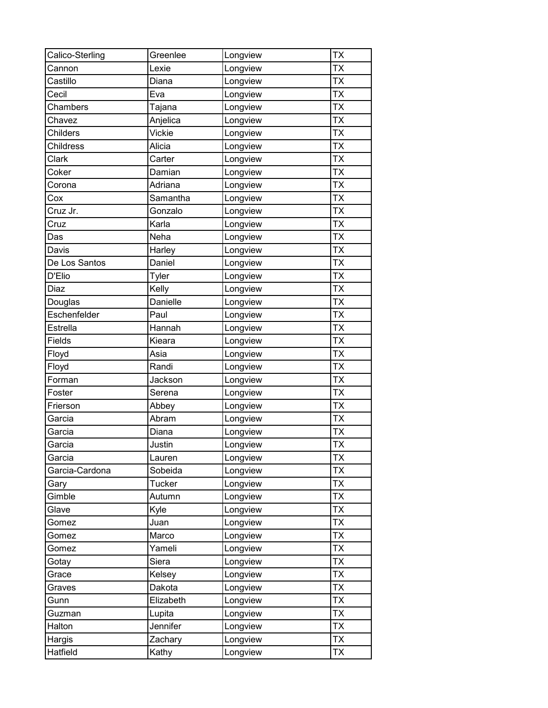| Calico-Sterling  | Greenlee      | Longview | <b>TX</b> |
|------------------|---------------|----------|-----------|
| Cannon           | Lexie         | Longview | <b>TX</b> |
| Castillo         | Diana         | Longview | <b>TX</b> |
| Cecil            | Eva           | Longview | <b>TX</b> |
| Chambers         | Tajana        | Longview | <b>TX</b> |
| Chavez           | Anjelica      | Longview | <b>TX</b> |
| Childers         | Vickie        | Longview | <b>TX</b> |
| <b>Childress</b> | Alicia        | Longview | <b>TX</b> |
| Clark            | Carter        | Longview | <b>TX</b> |
| Coker            | Damian        | Longview | <b>TX</b> |
| Corona           | Adriana       | Longview | <b>TX</b> |
| Cox              | Samantha      | Longview | <b>TX</b> |
| Cruz Jr.         | Gonzalo       | Longview | <b>TX</b> |
| Cruz             | Karla         | Longview | <b>TX</b> |
| Das              | Neha          | Longview | <b>TX</b> |
| Davis            | Harley        | Longview | <b>TX</b> |
| De Los Santos    | Daniel        | Longview | <b>TX</b> |
| D'Elio           | Tyler         | Longview | <b>TX</b> |
| Diaz             | Kelly         | Longview | <b>TX</b> |
| Douglas          | Danielle      | Longview | <b>TX</b> |
| Eschenfelder     | Paul          | Longview | <b>TX</b> |
| Estrella         | Hannah        | Longview | <b>TX</b> |
| Fields           | Kieara        | Longview | <b>TX</b> |
| Floyd            | Asia          | Longview | <b>TX</b> |
| Floyd            | Randi         | Longview | <b>TX</b> |
| Forman           | Jackson       | Longview | <b>TX</b> |
| Foster           | Serena        | Longview | <b>TX</b> |
| Frierson         | Abbey         | Longview | <b>TX</b> |
| Garcia           | Abram         | Longview | <b>TX</b> |
| Garcia           | Diana         | Longview | <b>TX</b> |
| Garcia           | Justin        | Longview | <b>TX</b> |
| Garcia           | Lauren        | Longview | <b>TX</b> |
| Garcia-Cardona   | Sobeida       | Longview | <b>TX</b> |
| Gary             | <b>Tucker</b> | Longview | TX        |
| Gimble           | Autumn        | Longview | <b>TX</b> |
| Glave            | Kyle          | Longview | <b>TX</b> |
| Gomez            | Juan          | Longview | TX        |
| Gomez            | Marco         | Longview | <b>TX</b> |
| Gomez            | Yameli        | Longview | <b>TX</b> |
| Gotay            | Siera         | Longview | <b>TX</b> |
| Grace            | Kelsey        | Longview | <b>TX</b> |
| Graves           | Dakota        | Longview | <b>TX</b> |
| Gunn             | Elizabeth     | Longview | <b>TX</b> |
| Guzman           | Lupita        | Longview | <b>TX</b> |
| Halton           | Jennifer      | Longview | <b>TX</b> |
| Hargis           | Zachary       | Longview | <b>TX</b> |
| Hatfield         | Kathy         | Longview | <b>TX</b> |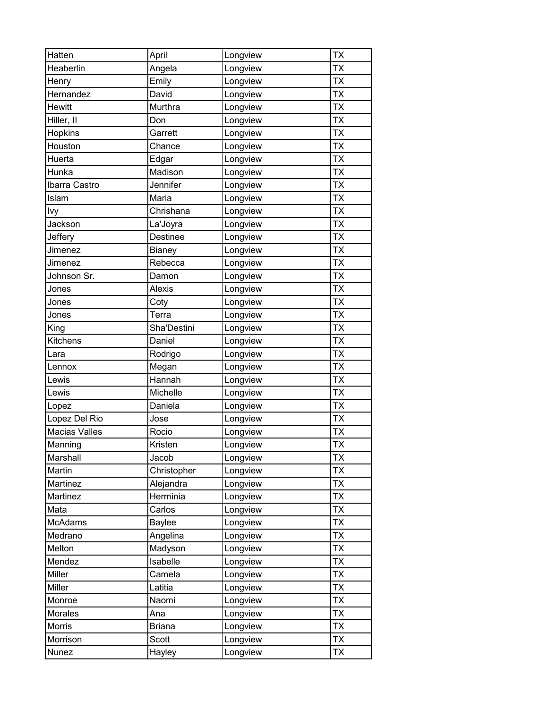| Hatten               | April           | Longview | <b>TX</b> |
|----------------------|-----------------|----------|-----------|
| Heaberlin            | Angela          | Longview | <b>TX</b> |
| Henry                | Emily           | Longview | <b>TX</b> |
| Hernandez            | David           | Longview | <b>TX</b> |
| <b>Hewitt</b>        | Murthra         | Longview | <b>TX</b> |
| Hiller, II           | Don             | Longview | <b>TX</b> |
| Hopkins              | Garrett         | Longview | <b>TX</b> |
| Houston              | Chance          | Longview | <b>TX</b> |
| Huerta               | Edgar           | Longview | <b>TX</b> |
| Hunka                | Madison         | Longview | <b>TX</b> |
| Ibarra Castro        | Jennifer        | Longview | <b>TX</b> |
| Islam                | Maria           | Longview | TX        |
| Ivy                  | Chrishana       | Longview | <b>TX</b> |
| Jackson              | La'Joyra        | Longview | <b>TX</b> |
| Jeffery              | <b>Destinee</b> | Longview | <b>TX</b> |
| Jimenez              | Bianey          | Longview | <b>TX</b> |
| Jimenez              | Rebecca         | Longview | <b>TX</b> |
| Johnson Sr.          | Damon           | Longview | <b>TX</b> |
| Jones                | <b>Alexis</b>   | Longview | <b>TX</b> |
| Jones                | Coty            | Longview | <b>TX</b> |
| Jones                | Terra           | Longview | <b>TX</b> |
| King                 | Sha'Destini     | Longview | <b>TX</b> |
| Kitchens             | Daniel          | Longview | <b>TX</b> |
| Lara                 | Rodrigo         | Longview | <b>TX</b> |
| Lennox               | Megan           | Longview | <b>TX</b> |
| Lewis                | Hannah          | Longview | <b>TX</b> |
| Lewis                | Michelle        | Longview | <b>TX</b> |
| Lopez                | Daniela         | Longview | <b>TX</b> |
| Lopez Del Rio        | Jose            | Longview | <b>TX</b> |
| <b>Macias Valles</b> | Rocio           | Longview | <b>TX</b> |
| Manning              | Kristen         | Longview | <b>TX</b> |
| Marshall             | Jacob           | Longview | <b>TX</b> |
| Martin               | Christopher     | Longview | <b>TX</b> |
| Martinez             | Alejandra       | Longview | <b>TX</b> |
| Martinez             | Herminia        | Longview | <b>TX</b> |
| Mata                 | Carlos          | Longview | <b>TX</b> |
| McAdams              | Baylee          | Longview | <b>TX</b> |
| Medrano              | Angelina        | Longview | <b>TX</b> |
| Melton               | Madyson         | Longview | <b>TX</b> |
| Mendez               | Isabelle        | Longview | <b>TX</b> |
| Miller               | Camela          | Longview | TX        |
| Miller               | Latitia         | Longview | <b>TX</b> |
| Monroe               | Naomi           | Longview | ТX        |
| Morales              | Ana             | Longview | <b>TX</b> |
| Morris               | <b>Briana</b>   | Longview | TX        |
| Morrison             | Scott           | Longview | <b>TX</b> |
| Nunez                | Hayley          | Longview | <b>TX</b> |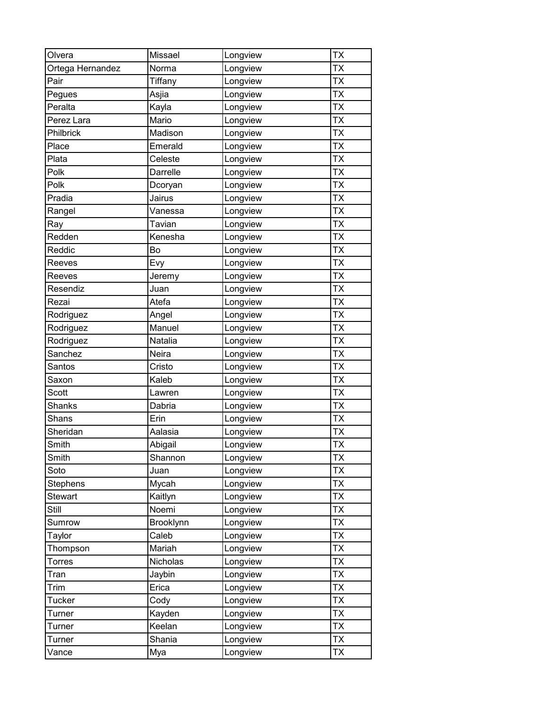| Olvera           | Missael   | Longview | <b>TX</b> |
|------------------|-----------|----------|-----------|
| Ortega Hernandez | Norma     | Longview | <b>TX</b> |
| Pair             | Tiffany   | Longview | <b>TX</b> |
| Pegues           | Asjia     | Longview | <b>TX</b> |
| Peralta          | Kayla     | Longview | <b>TX</b> |
| Perez Lara       | Mario     | Longview | <b>TX</b> |
| Philbrick        | Madison   | Longview | <b>TX</b> |
| Place            | Emerald   | Longview | <b>TX</b> |
| Plata            | Celeste   | Longview | <b>TX</b> |
| Polk             | Darrelle  | Longview | <b>TX</b> |
| Polk             | Dcoryan   | Longview | <b>TX</b> |
| Pradia           | Jairus    | Longview | <b>TX</b> |
| Rangel           | Vanessa   | Longview | <b>TX</b> |
| Ray              | Tavian    | Longview | <b>TX</b> |
| Redden           | Kenesha   | Longview | <b>TX</b> |
| Reddic           | Bo        | Longview | <b>TX</b> |
| Reeves           | Evy       | Longview | <b>TX</b> |
| Reeves           | Jeremy    | Longview | <b>TX</b> |
| Resendiz         | Juan      | Longview | <b>TX</b> |
| Rezai            | Atefa     | Longview | <b>TX</b> |
| Rodriguez        | Angel     | Longview | <b>TX</b> |
| Rodriguez        | Manuel    | Longview | <b>TX</b> |
| Rodriguez        | Natalia   | Longview | <b>TX</b> |
| Sanchez          | Neira     | Longview | <b>TX</b> |
| Santos           | Cristo    | Longview | <b>TX</b> |
| Saxon            | Kaleb     | Longview | <b>TX</b> |
| Scott            | Lawren    | Longview | <b>TX</b> |
| <b>Shanks</b>    | Dabria    | Longview | <b>TX</b> |
| Shans            | Erin      | Longview | <b>TX</b> |
| Sheridan         | Aalasia   | Longview | <b>TX</b> |
| Smith            | Abigail   | Longview | <b>TX</b> |
| Smith            | Shannon   | Longview | <b>TX</b> |
| Soto             | Juan      | Longview | <b>TX</b> |
| Stephens         | Mycah     | Longview | <b>TX</b> |
| <b>Stewart</b>   | Kaitlyn   | Longview | <b>TX</b> |
| Still            | Noemi     | Longview | <b>TX</b> |
| Sumrow           | Brooklynn | Longview | <b>TX</b> |
| Taylor           | Caleb     | Longview | <b>TX</b> |
| Thompson         | Mariah    | Longview | <b>TX</b> |
| Torres           | Nicholas  | Longview | <b>TX</b> |
| Tran             | Jaybin    | Longview | <b>TX</b> |
| Trim             | Erica     | Longview | <b>TX</b> |
| <b>Tucker</b>    | Cody      | Longview | <b>TX</b> |
| Turner           | Kayden    | Longview | <b>TX</b> |
| Turner           | Keelan    | Longview | TX        |
| Turner           | Shania    | Longview | <b>TX</b> |
| Vance            | Mya       | Longview | <b>TX</b> |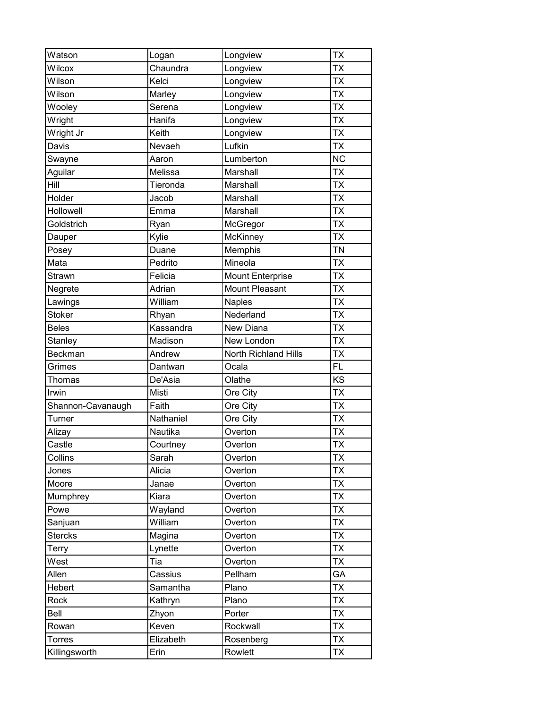| Watson            | Logan     | Longview              | <b>TX</b> |
|-------------------|-----------|-----------------------|-----------|
| Wilcox            | Chaundra  | Longview              | <b>TX</b> |
| Wilson            | Kelci     | Longview              | <b>TX</b> |
| Wilson            | Marley    | Longview              | <b>TX</b> |
| Wooley            | Serena    | Longview              | <b>TX</b> |
| Wright            | Hanifa    | Longview              | <b>TX</b> |
| Wright Jr         | Keith     | Longview              | <b>TX</b> |
| Davis             | Nevaeh    | Lufkin                | <b>TX</b> |
| Swayne            | Aaron     | Lumberton             | <b>NC</b> |
| Aguilar           | Melissa   | Marshall              | <b>TX</b> |
| Hill              | Tieronda  | Marshall              | <b>TX</b> |
| Holder            | Jacob     | Marshall              | <b>TX</b> |
| Hollowell         | Emma      | Marshall              | <b>TX</b> |
| Goldstrich        | Ryan      | McGregor              | <b>TX</b> |
| Dauper            | Kylie     | McKinney              | <b>TX</b> |
| Posey             | Duane     | Memphis               | <b>TN</b> |
| Mata              | Pedrito   | Mineola               | <b>TX</b> |
| <b>Strawn</b>     | Felicia   | Mount Enterprise      | <b>TX</b> |
| Negrete           | Adrian    | <b>Mount Pleasant</b> | <b>TX</b> |
| Lawings           | William   | <b>Naples</b>         | <b>TX</b> |
| <b>Stoker</b>     | Rhyan     | Nederland             | <b>TX</b> |
| <b>Beles</b>      | Kassandra | New Diana             | <b>TX</b> |
| Stanley           | Madison   | New London            | <b>TX</b> |
| Beckman           | Andrew    | North Richland Hills  | <b>TX</b> |
| Grimes            | Dantwan   | Ocala                 | FL        |
| <b>Thomas</b>     | De'Asia   | Olathe                | KS        |
| Irwin             | Misti     | Ore City              | <b>TX</b> |
| Shannon-Cavanaugh | Faith     | Ore City              | <b>TX</b> |
| Turner            | Nathaniel | Ore City              | <b>TX</b> |
| Alizay            | Nautika   | Overton               | <b>TX</b> |
| Castle            | Courtney  | Overton               | <b>TX</b> |
| Collins           | Sarah     | Overton               | <b>TX</b> |
| Jones             | Alicia    | Overton               | <b>TX</b> |
| Moore             | Janae     | Overton               | <b>TX</b> |
| Mumphrey          | Kiara     | Overton               | <b>TX</b> |
| Powe              | Wayland   | Overton               | <b>TX</b> |
| Sanjuan           | William   | Overton               | <b>TX</b> |
| <b>Stercks</b>    | Magina    | Overton               | <b>TX</b> |
| Terry             | Lynette   | Overton               | <b>TX</b> |
| West              | Tia       | Overton               | <b>TX</b> |
| Allen             | Cassius   | Pellham               | GA        |
| Hebert            | Samantha  | Plano                 | <b>TX</b> |
| Rock              | Kathryn   | Plano                 | <b>TX</b> |
| Bell              | Zhyon     | Porter                | <b>TX</b> |
| Rowan             | Keven     | Rockwall              | TX        |
| <b>Torres</b>     | Elizabeth | Rosenberg             | <b>TX</b> |
| Killingsworth     | Erin      | Rowlett               | <b>TX</b> |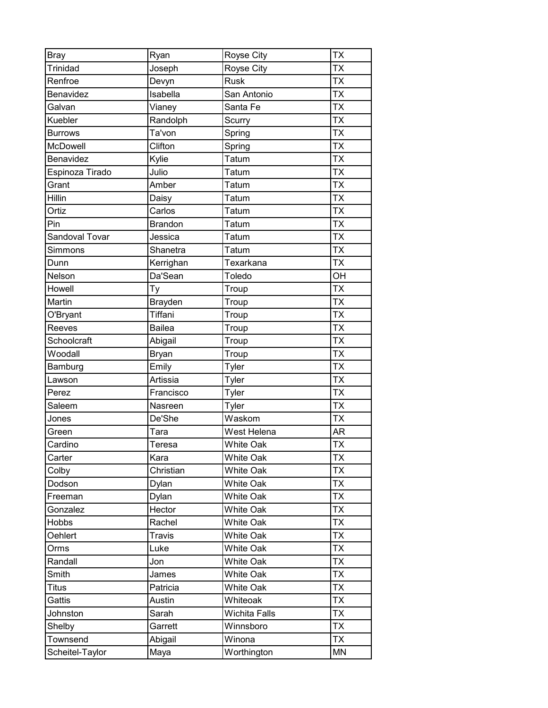| <b>Bray</b>      | Ryan           | Royse City       | <b>TX</b>       |
|------------------|----------------|------------------|-----------------|
| Trinidad         | Joseph         | Royse City       | <b>TX</b>       |
| Renfroe          | Devyn          | <b>Rusk</b>      | <b>TX</b>       |
| <b>Benavidez</b> | Isabella       | San Antonio      | <b>TX</b>       |
| Galvan           | Vianey         | Santa Fe         | <b>TX</b>       |
| Kuebler          | Randolph       | Scurry           | <b>TX</b>       |
| <b>Burrows</b>   | Ta'von         | Spring           | <b>TX</b>       |
| McDowell         | Clifton        | Spring           | <b>TX</b>       |
| Benavidez        | Kylie          | Tatum            | $\overline{TX}$ |
| Espinoza Tirado  | Julio          | Tatum            | <b>TX</b>       |
| Grant            | Amber          | Tatum            | <b>TX</b>       |
| Hillin           | Daisy          | Tatum            | <b>TX</b>       |
| Ortiz            | Carlos         | <b>Tatum</b>     | <b>TX</b>       |
| Pin              | <b>Brandon</b> | Tatum            | <b>TX</b>       |
| Sandoval Tovar   | Jessica        | <b>Tatum</b>     | <b>TX</b>       |
| Simmons          | Shanetra       | Tatum            | <b>TX</b>       |
| Dunn             | Kerrighan      | Texarkana        | <b>TX</b>       |
| Nelson           | Da'Sean        | Toledo           | OH              |
| Howell           | Ty             | Troup            | <b>TX</b>       |
| Martin           | Brayden        | Troup            | <b>TX</b>       |
| O'Bryant         | Tiffani        | Troup            | <b>TX</b>       |
| Reeves           | <b>Bailea</b>  | Troup            | <b>TX</b>       |
| Schoolcraft      | Abigail        | Troup            | <b>TX</b>       |
| Woodall          | <b>Bryan</b>   | Troup            | <b>TX</b>       |
| Bamburg          | Emily          | Tyler            | <b>TX</b>       |
| Lawson           | Artissia       | Tyler            | <b>TX</b>       |
| Perez            | Francisco      | Tyler            | <b>TX</b>       |
| Saleem           | Nasreen        | Tyler            | <b>TX</b>       |
| Jones            | De'She         | Waskom           | <b>TX</b>       |
| Green            | Tara           | West Helena      | AR              |
| Cardino          | Teresa         | White Oak        | <b>TX</b>       |
| Carter           | Kara           | <b>White Oak</b> | <b>TX</b>       |
| Colby            | Christian      | <b>White Oak</b> | <b>TX</b>       |
| Dodson           | Dylan          | <b>White Oak</b> | <b>TX</b>       |
| Freeman          | Dylan          | <b>White Oak</b> | <b>TX</b>       |
| Gonzalez         | Hector         | <b>White Oak</b> | <b>TX</b>       |
| <b>Hobbs</b>     | Rachel         | White Oak        | <b>TX</b>       |
| Oehlert          | <b>Travis</b>  | <b>White Oak</b> | <b>TX</b>       |
| Orms             | Luke           | <b>White Oak</b> | <b>TX</b>       |
| Randall          | Jon            | <b>White Oak</b> | <b>TX</b>       |
| Smith            | James          | <b>White Oak</b> | <b>TX</b>       |
| Titus            | Patricia       | <b>White Oak</b> | <b>TX</b>       |
| Gattis           | Austin         | Whiteoak         | <b>TX</b>       |
| Johnston         | Sarah          | Wichita Falls    | <b>TX</b>       |
| Shelby           | Garrett        | Winnsboro        | TX              |
| Townsend         | Abigail        | Winona           | <b>TX</b>       |
| Scheitel-Taylor  | Maya           | Worthington      | <b>MN</b>       |